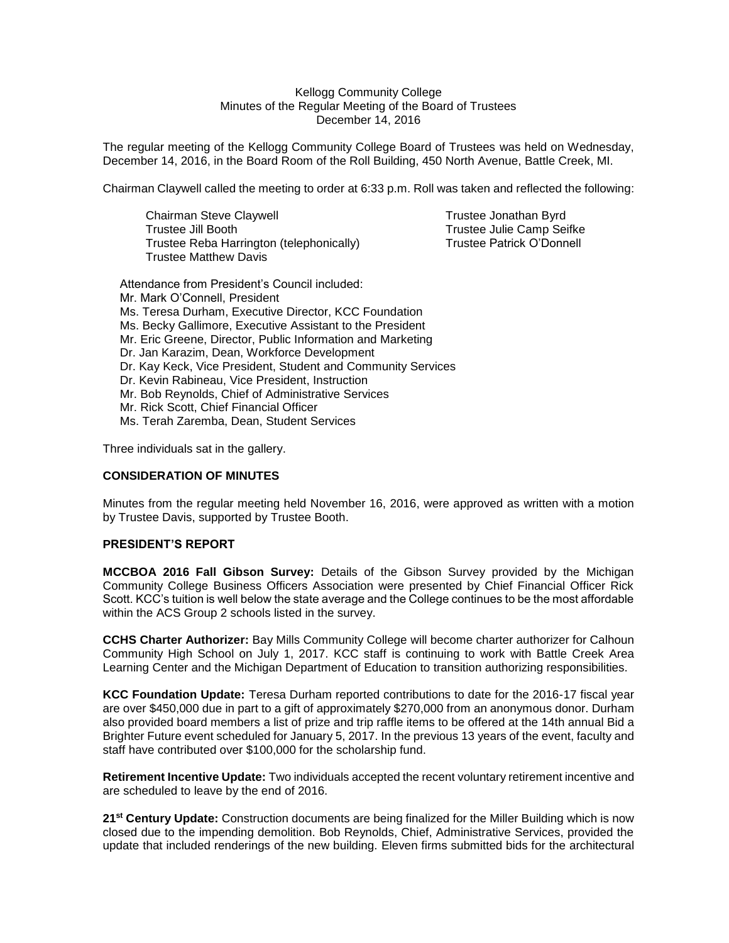## Kellogg Community College Minutes of the Regular Meeting of the Board of Trustees December 14, 2016

The regular meeting of the Kellogg Community College Board of Trustees was held on Wednesday, December 14, 2016, in the Board Room of the Roll Building, 450 North Avenue, Battle Creek, MI.

Chairman Claywell called the meeting to order at 6:33 p.m. Roll was taken and reflected the following:

Chairman Steve Claywell **Trustee Jonathan Byrd** Trustee Jill Booth Trustee Julie Camp Seifke<br>Trustee Reba Harrington (telephonically) Trustee Patrick O'Donnell Trustee Reba Harrington (telephonically) Trustee Matthew Davis

Attendance from President's Council included: Mr. Mark O'Connell, President Ms. Teresa Durham, Executive Director, KCC Foundation Ms. Becky Gallimore, Executive Assistant to the President Mr. Eric Greene, Director, Public Information and Marketing Dr. Jan Karazim, Dean, Workforce Development Dr. Kay Keck, Vice President, Student and Community Services Dr. Kevin Rabineau, Vice President, Instruction Mr. Bob Reynolds, Chief of Administrative Services Mr. Rick Scott, Chief Financial Officer Ms. Terah Zaremba, Dean, Student Services

Three individuals sat in the gallery.

## **CONSIDERATION OF MINUTES**

Minutes from the regular meeting held November 16, 2016, were approved as written with a motion by Trustee Davis, supported by Trustee Booth.

# **PRESIDENT'S REPORT**

**MCCBOA 2016 Fall Gibson Survey:** Details of the Gibson Survey provided by the Michigan Community College Business Officers Association were presented by Chief Financial Officer Rick Scott. KCC's tuition is well below the state average and the College continues to be the most affordable within the ACS Group 2 schools listed in the survey.

**CCHS Charter Authorizer:** Bay Mills Community College will become charter authorizer for Calhoun Community High School on July 1, 2017. KCC staff is continuing to work with Battle Creek Area Learning Center and the Michigan Department of Education to transition authorizing responsibilities.

**KCC Foundation Update:** Teresa Durham reported contributions to date for the 2016-17 fiscal year are over \$450,000 due in part to a gift of approximately \$270,000 from an anonymous donor. Durham also provided board members a list of prize and trip raffle items to be offered at the 14th annual Bid a Brighter Future event scheduled for January 5, 2017. In the previous 13 years of the event, faculty and staff have contributed over \$100,000 for the scholarship fund.

**Retirement Incentive Update:** Two individuals accepted the recent voluntary retirement incentive and are scheduled to leave by the end of 2016.

**21st Century Update:** Construction documents are being finalized for the Miller Building which is now closed due to the impending demolition. Bob Reynolds, Chief, Administrative Services, provided the update that included renderings of the new building. Eleven firms submitted bids for the architectural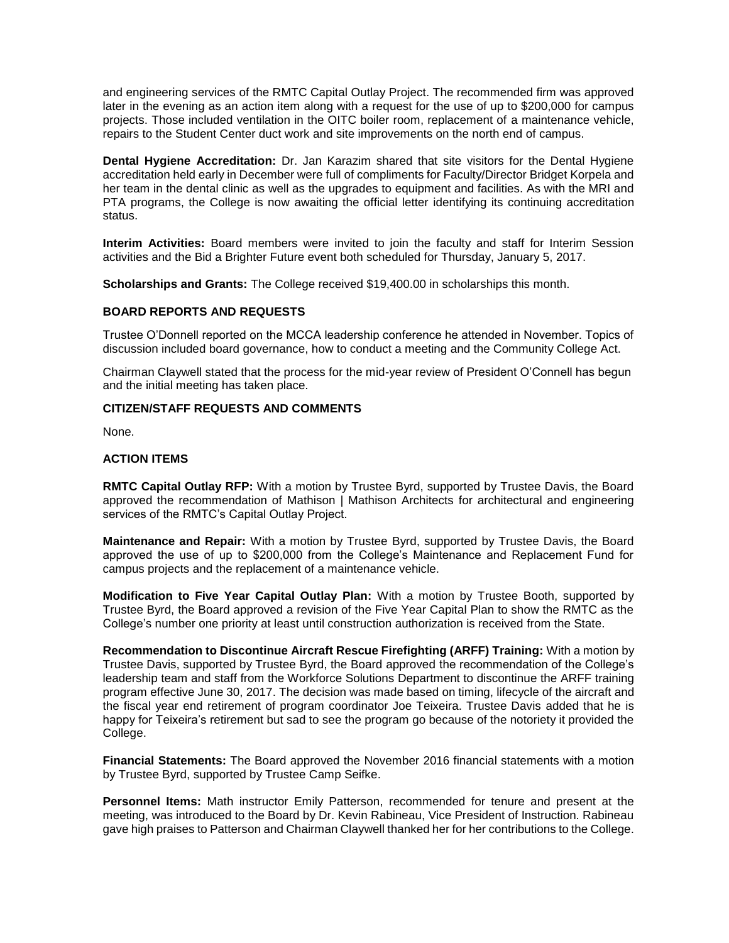and engineering services of the RMTC Capital Outlay Project. The recommended firm was approved later in the evening as an action item along with a request for the use of up to \$200,000 for campus projects. Those included ventilation in the OITC boiler room, replacement of a maintenance vehicle, repairs to the Student Center duct work and site improvements on the north end of campus.

**Dental Hygiene Accreditation:** Dr. Jan Karazim shared that site visitors for the Dental Hygiene accreditation held early in December were full of compliments for Faculty/Director Bridget Korpela and her team in the dental clinic as well as the upgrades to equipment and facilities. As with the MRI and PTA programs, the College is now awaiting the official letter identifying its continuing accreditation status.

**Interim Activities:** Board members were invited to join the faculty and staff for Interim Session activities and the Bid a Brighter Future event both scheduled for Thursday, January 5, 2017.

**Scholarships and Grants:** The College received \$19,400.00 in scholarships this month.

## **BOARD REPORTS AND REQUESTS**

Trustee O'Donnell reported on the MCCA leadership conference he attended in November. Topics of discussion included board governance, how to conduct a meeting and the Community College Act.

Chairman Claywell stated that the process for the mid-year review of President O'Connell has begun and the initial meeting has taken place.

#### **CITIZEN/STAFF REQUESTS AND COMMENTS**

None.

## **ACTION ITEMS**

**RMTC Capital Outlay RFP:** With a motion by Trustee Byrd, supported by Trustee Davis, the Board approved the recommendation of Mathison | Mathison Architects for architectural and engineering services of the RMTC's Capital Outlay Project.

**Maintenance and Repair:** With a motion by Trustee Byrd, supported by Trustee Davis, the Board approved the use of up to \$200,000 from the College's Maintenance and Replacement Fund for campus projects and the replacement of a maintenance vehicle.

**Modification to Five Year Capital Outlay Plan:** With a motion by Trustee Booth, supported by Trustee Byrd, the Board approved a revision of the Five Year Capital Plan to show the RMTC as the College's number one priority at least until construction authorization is received from the State.

**Recommendation to Discontinue Aircraft Rescue Firefighting (ARFF) Training:** With a motion by Trustee Davis, supported by Trustee Byrd, the Board approved the recommendation of the College's leadership team and staff from the Workforce Solutions Department to discontinue the ARFF training program effective June 30, 2017. The decision was made based on timing, lifecycle of the aircraft and the fiscal year end retirement of program coordinator Joe Teixeira. Trustee Davis added that he is happy for Teixeira's retirement but sad to see the program go because of the notoriety it provided the College.

**Financial Statements:** The Board approved the November 2016 financial statements with a motion by Trustee Byrd, supported by Trustee Camp Seifke.

**Personnel Items:** Math instructor Emily Patterson, recommended for tenure and present at the meeting, was introduced to the Board by Dr. Kevin Rabineau, Vice President of Instruction. Rabineau gave high praises to Patterson and Chairman Claywell thanked her for her contributions to the College.